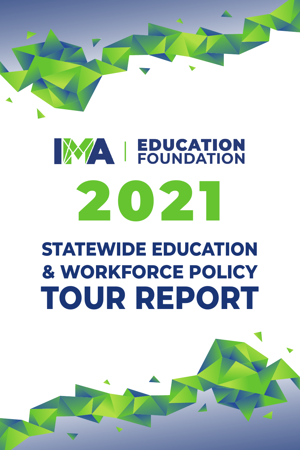

# **EDUCATION** 2021

# **STATEWIDE EDUCATION & WORKFORCE POLICY TOUR REPORT**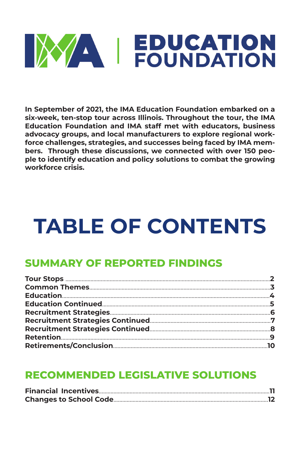# **EDUCATION**<br>
FOUNDATION

**In September of 2021, the IMA Education Foundation embarked on a six-week, ten-stop tour across Illinois. Throughout the tour, the IMA Education Foundation and IMA staff met with educators, business advocacy groups, and local manufacturers to explore regional workforce challenges, strategies, and successes being faced by IMA members. Through these discussions, we connected with over 150 people to identify education and policy solutions to combat the growing workforce crisis.** 

## **TABLE OF CONTENTS**

#### **SUMMARY OF REPORTED FINDINGS**

#### **RECOMMENDED LEGISLATIVE SOLUTIONS**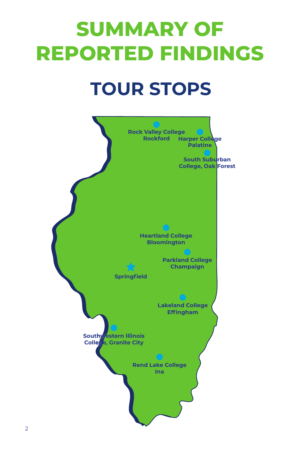# **SUMMARY OF REPORTED FINDINGS**

## **TOUR STOPS**

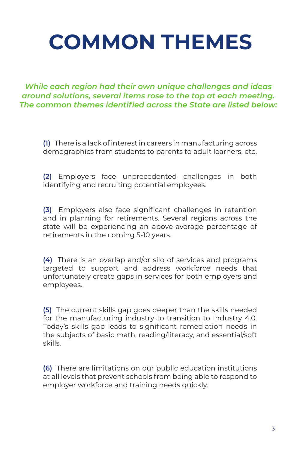## **COMMON THEMES**

*While each region had their own unique challenges and ideas around solutions, several items rose to the top at each meeting. The common themes identified across the State are listed below:*

**(1)** There is a lack of interest in careers in manufacturing across demographics from students to parents to adult learners, etc.

**(2)** Employers face unprecedented challenges in both identifying and recruiting potential employees.

**(3)** Employers also face significant challenges in retention and in planning for retirements. Several regions across the state will be experiencing an above-average percentage of retirements in the coming 5-10 years.

**(4)** There is an overlap and/or silo of services and programs targeted to support and address workforce needs that unfortunately create gaps in services for both employers and employees.

**(5)** The current skills gap goes deeper than the skills needed for the manufacturing industry to transition to Industry 4.0. Today's skills gap leads to significant remediation needs in the subjects of basic math, reading/literacy, and essential/soft skills.

**(6)** There are limitations on our public education institutions at all levels that prevent schools from being able to respond to employer workforce and training needs quickly.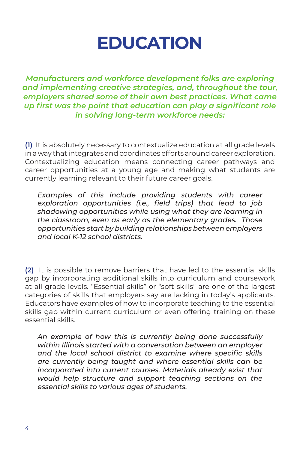### **EDUCATION**

*Manufacturers and workforce development folks are exploring and implementing creative strategies, and, throughout the tour, employers shared some of their own best practices. What came up first was the point that education can play a significant role in solving long-term workforce needs:*

**(1)** It is absolutely necessary to contextualize education at all grade levels in a way that integrates and coordinates efforts around career exploration. Contextualizing education means connecting career pathways and career opportunities at a young age and making what students are currently learning relevant to their future career goals.

*Examples of this include providing students with career exploration opportunities (i.e., field trips) that lead to job shadowing opportunities while using what they are learning in the classroom, even as early as the elementary grades. Those opportunities start by building relationships between employers and local K-12 school districts.*

**(2)** It is possible to remove barriers that have led to the essential skills gap by incorporating additional skills into curriculum and coursework at all grade levels. "Essential skills" or "soft skills" are one of the largest categories of skills that employers say are lacking in today's applicants. Educators have examples of how to incorporate teaching to the essential skills gap within current curriculum or even offering training on these essential skills.

*An example of how this is currently being done successfully within Illinois started with a conversation between an employer and the local school district to examine where specific skills are currently being taught and where essential skills can be incorporated into current courses. Materials already exist that would help structure and support teaching sections on the essential skills to various ages of students.*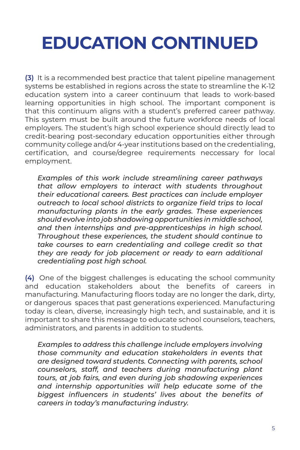## **EDUCATION CONTINUED**

**(3)** It is a recommended best practice that talent pipeline management systems be established in regions across the state to streamline the K-12 education system into a career continuum that leads to work-based learning opportunities in high school. The important component is that this continuum aligns with a student's preferred career pathway. This system must be built around the future workforce needs of local employers. The student's high school experience should directly lead to credit-bearing post-secondary education opportunities either through community college and/or 4-year institutions based on the credentialing, certification, and course/degree requirements neccessary for local employment.

*Examples of this work include streamlining career pathways that allow employers to interact with students throughout their educational careers. Best practices can include employer outreach to local school districts to organize field trips to local manufacturing plants in the early grades. These experiences should evolve into job shadowing opportunities in middle school, and then internships and pre-apprenticeships in high school. Throughout these experiences, the student should continue to take courses to earn credentialing and college credit so that they are ready for job placement or ready to earn additional credentialing post high school.*

**(4)** One of the biggest challenges is educating the school community and education stakeholders about the benefits of careers in manufacturing. Manufacturing floors today are no longer the dark, dirty, or dangerous spaces that past generations experienced. Manufacturing today is clean, diverse, increasingly high tech, and sustainable, and it is important to share this message to educate school counselors, teachers, administrators, and parents in addition to students.

*Examples to address this challenge include employers involving those community and education stakeholders in events that are designed toward students. Connecting with parents, school counselors, staff, and teachers during manufacturing plant tours, at job fairs, and even during job shadowing experiences and internship opportunities will help educate some of the biggest influencers in students' lives about the benefits of careers in today's manufacturing industry.*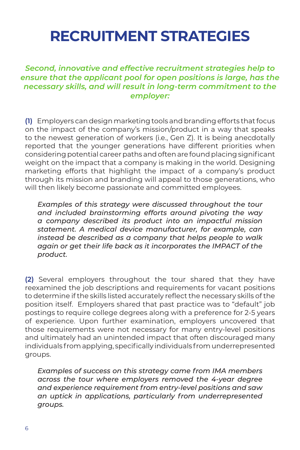### **RECRUITMENT STRATEGIES**

#### *Second, innovative and effective recruitment strategies help to ensure that the applicant pool for open positions is large, has the necessary skills, and will result in long-term commitment to the employer:*

**(1)** Employers can design marketing tools and branding efforts that focus on the impact of the company's mission/product in a way that speaks to the newest generation of workers (i.e., Gen Z). It is being anecdotally reported that the younger generations have different priorities when considering potential career paths and often are found placing significant weight on the impact that a company is making in the world. Designing marketing efforts that highlight the impact of a company's product through its mission and branding will appeal to those generations, who will then likely become passionate and committed employees.

*Examples of this strategy were discussed throughout the tour and included brainstorming efforts around pivoting the way a company described its product into an impactful mission statement. A medical device manufacturer, for example, can instead be described as a company that helps people to walk*  again or get their life back as it incorporates the IMPACT of the *product.*

**(2)** Several employers throughout the tour shared that they have reexamined the job descriptions and requirements for vacant positions to determine if the skills listed accurately reflect the necessary skills of the position itself. Employers shared that past practice was to "default" job postings to require college degrees along with a preference for 2-5 years of experience. Upon further examination, employers uncovered that those requirements were not necessary for many entry-level positions and ultimately had an unintended impact that often discouraged many individuals from applying, specifically individuals from underrepresented groups.

*Examples of success on this strategy came from IMA members across the tour where employers removed the 4-year degree and experience requirement from entry-level positions and saw an uptick in applications, particularly from underrepresented groups.*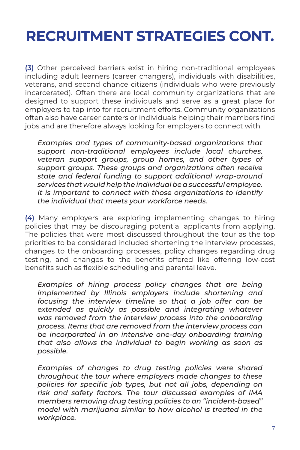### **RECRUITMENT STRATEGIES CONT.**

**(3)** Other perceived barriers exist in hiring non-traditional employees including adult learners (career changers), individuals with disabilities, veterans, and second chance citizens (individuals who were previously incarcerated). Often there are local community organizations that are designed to support these individuals and serve as a great place for employers to tap into for recruitment efforts. Community organizations often also have career centers or individuals helping their members find jobs and are therefore always looking for employers to connect with.

*Examples and types of community-based organizations that support non-traditional employees include local churches, veteran support groups, group homes, and other types of support groups. These groups and organizations often receive state and federal funding to support additional wrap-around services that would help the individual be a successful employee. It is important to connect with those organizations to identify the individual that meets your workforce needs.* 

**(4)** Many employers are exploring implementing changes to hiring policies that may be discouraging potential applicants from applying. The policies that were most discussed throughout the tour as the top priorities to be considered included shortening the interview processes, changes to the onboarding processes, policy changes regarding drug testing, and changes to the benefits offered like offering low-cost benefits such as flexible scheduling and parental leave.

*Examples of hiring process policy changes that are being implemented by Illinois employers include shortening and focusing the interview timeline so that a job offer can be extended as quickly as possible and integrating whatever was removed from the interview process into the onboarding process. Items that are removed from the interview process can be incorporated in an intensive one-day onboarding training that also allows the individual to begin working as soon as possible.* 

*Examples of changes to drug testing policies were shared throughout the tour where employers made changes to these policies for specific job types, but not all jobs, depending on risk and safety factors. The tour discussed examples of IMA members removing drug testing policies to an "incident-based" model with marijuana similar to how alcohol is treated in the workplace.*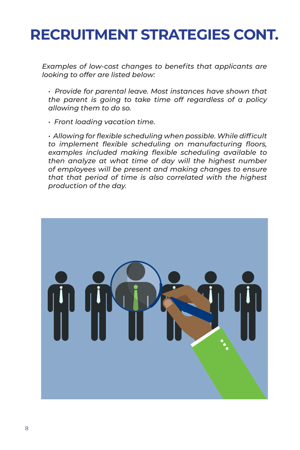### **RECRUITMENT STRATEGIES CONT.**

*Examples of low-cost changes to benefits that applicants are looking to offer are listed below:*

*• Provide for parental leave. Most instances have shown that the parent is going to take time off regardless of a policy allowing them to do so.*

*• Front loading vacation time.*

*• Allowing for flexible scheduling when possible. While difficult to implement flexible scheduling on manufacturing floors, examples included making flexible scheduling available to then analyze at what time of day will the highest number of employees will be present and making changes to ensure that that period of time is also correlated with the highest production of the day.*

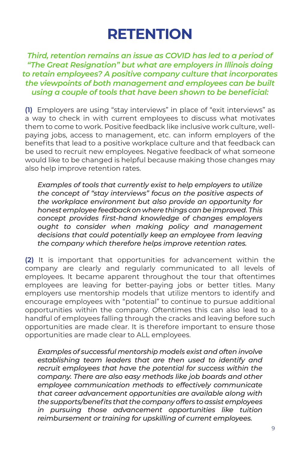#### **RETENTION**

*Third, retention remains an issue as COVID has led to a period of "The Great Resignation" but what are employers in Illinois doing to retain employees? A positive company culture that incorporates the viewpoints of both management and employees can be built using a couple of tools that have been shown to be beneficial:*

**(1)** Employers are using "stay interviews" in place of "exit interviews" as a way to check in with current employees to discuss what motivates them to come to work. Positive feedback like inclusive work culture, wellpaying jobs, access to management, etc. can inform employers of the benefits that lead to a positive workplace culture and that feedback can be used to recruit new employees. Negative feedback of what someone would like to be changed is helpful because making those changes may also help improve retention rates.

*Examples of tools that currently exist to help employers to utilize the concept of "stay interviews" focus on the positive aspects of the workplace environment but also provide an opportunity for honest employee feedback on where things can be improved. This concept provides first-hand knowledge of changes employers ought to consider when making policy and management decisions that could potentially keep an employee from leaving the company which therefore helps improve retention rates.*

**(2)** It is important that opportunities for advancement within the company are clearly and regularly communicated to all levels of employees. It became apparent throughout the tour that oftentimes employees are leaving for better-paying jobs or better titles. Many employers use mentorship models that utilize mentors to identify and encourage employees with "potential" to continue to pursue additional opportunities within the company. Oftentimes this can also lead to a handful of employees falling through the cracks and leaving before such opportunities are made clear. It is therefore important to ensure those opportunities are made clear to ALL employees.

*Examples of successful mentorship models exist and often involve establishing team leaders that are then used to identify and recruit employees that have the potential for success within the company. There are also easy methods like job boards and other employee communication methods to effectively communicate that career advancement opportunities are available along with the supports/benefits that the company offers to assist employees in pursuing those advancement opportunities like tuition reimbursement or training for upskilling of current employees.*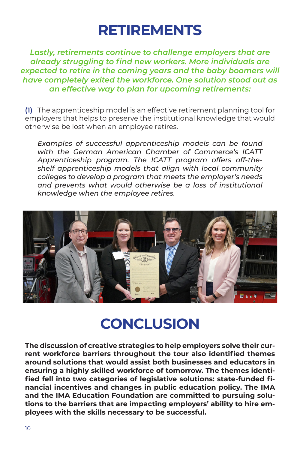#### **RETIREMENTS**

*Lastly, retirements continue to challenge employers that are already struggling to find new workers. More individuals are expected to retire in the coming years and the baby boomers will have completely exited the workforce. One solution stood out as an effective way to plan for upcoming retirements:* 

**(1)** The apprenticeship model is an effective retirement planning tool for employers that helps to preserve the institutional knowledge that would otherwise be lost when an employee retires.

*Examples of successful apprenticeship models can be found with the German American Chamber of Commerce's ICATT Apprenticeship program. The ICATT program offers off-theshelf apprenticeship models that align with local community colleges to develop a program that meets the employer's needs and prevents what would otherwise be a loss of institutional knowledge when the employee retires.* 



### **CONCLUSION**

**The discussion of creative strategies to help employers solve their current workforce barriers throughout the tour also identified themes around solutions that would assist both businesses and educators in ensuring a highly skilled workforce of tomorrow. The themes identified fell into two categories of legislative solutions: state-funded financial incentives and changes in public education policy. The IMA and the IMA Education Foundation are committed to pursuing solutions to the barriers that are impacting employers' ability to hire employees with the skills necessary to be successful.**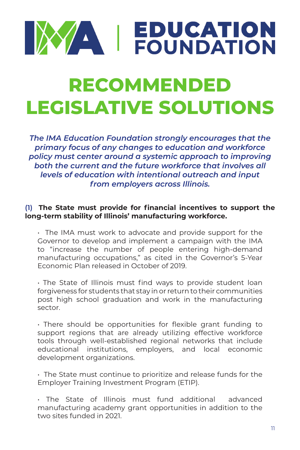# **EDUCATION**

## **RECOMMENDED LEGISLATIVE SOLUTIONS**

*The IMA Education Foundation strongly encourages that the primary focus of any changes to education and workforce policy must center around a systemic approach to improving both the current and the future workforce that involves all levels of education with intentional outreach and input from employers across Illinois.*

#### **(1) The State must provide for financial incentives to support the long-term stability of Illinois' manufacturing workforce.**

• The IMA must work to advocate and provide support for the Governor to develop and implement a campaign with the IMA to "increase the number of people entering high-demand manufacturing occupations," as cited in the Governor's 5-Year Economic Plan released in October of 2019.

• The State of Illinois must find ways to provide student loan forgiveness for students that stay in or return to their communities post high school graduation and work in the manufacturing sector.

• There should be opportunities for flexible grant funding to support regions that are already utilizing effective workforce tools through well-established regional networks that include educational institutions, employers, and local economic development organizations.

• The State must continue to prioritize and release funds for the Employer Training Investment Program (ETIP).

• The State of Illinois must fund additional advanced manufacturing academy grant opportunities in addition to the two sites funded in 2021.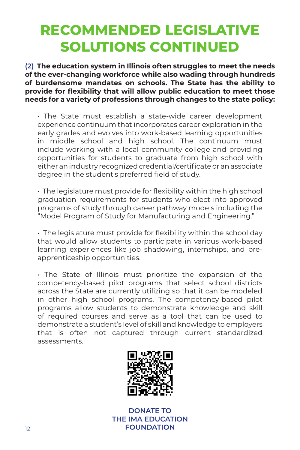#### **RECOMMENDED LEGISLATIVE SOLUTIONS CONTINUED**

**(2)** The education system in Illinois often struggles to meet the needs **of the ever-changing workforce while also wading through hundreds of burdensome mandates on schools. The State has the ability to provide for flexibility that will allow public education to meet those needs for a variety of professions through changes to the state policy:**

• The State must establish a state-wide career development experience continuum that incorporates career exploration in the early grades and evolves into work-based learning opportunities in middle school and high school. The continuum must include working with a local community college and providing opportunities for students to graduate from high school with either an industry recognized credential/certificate or an associate degree in the student's preferred field of study.

• The legislature must provide for flexibility within the high school graduation requirements for students who elect into approved programs of study through career pathway models including the "Model Program of Study for Manufacturing and Engineering."

• The legislature must provide for flexibility within the school day that would allow students to participate in various work-based learning experiences like job shadowing, internships, and preapprenticeship opportunities.

• The State of Illinois must prioritize the expansion of the competency-based pilot programs that select school districts across the State are currently utilizing so that it can be modeled in other high school programs. The competency-based pilot programs allow students to demonstrate knowledge and skill of required courses and serve as a tool that can be used to demonstrate a student's level of skill and knowledge to employers that is often not captured through current standardized assessments.



**DONATE TO THE IMA EDUCATION FOUNDATION**